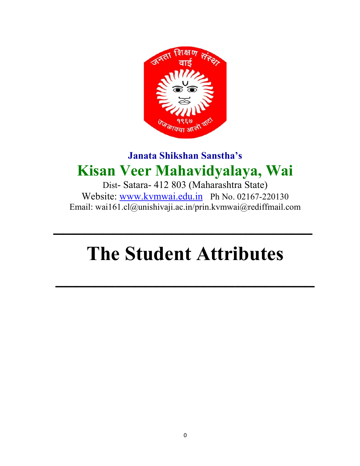

# **Janata Shikshan Sanstha's Kisan Veer Mahavidyalaya, Wai**

Dist- Satara- 412 803 (Maharashtra State) Website: www.kvmwai.edu.in Ph No. 02167-220130 Email: wai161.cl@unishivaji.ac.in/prin.kvmwai@rediffmail.com

**\_\_\_\_\_\_\_\_\_\_\_\_\_\_\_\_\_\_\_\_\_\_\_\_\_\_** 

# **The Student Attributes**

**\_\_\_\_\_\_\_\_\_\_\_\_\_\_\_\_\_\_\_\_\_\_\_\_\_\_**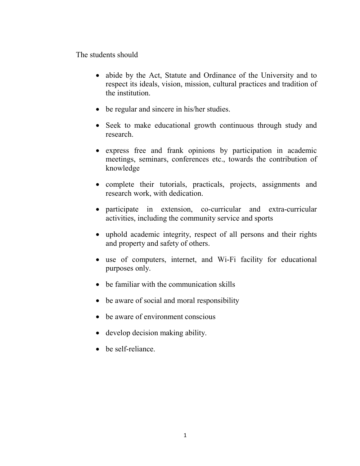The students should

- abide by the Act, Statute and Ordinance of the University and to respect its ideals, vision, mission, cultural practices and tradition of the institution.
- be regular and sincere in his/her studies.
- Seek to make educational growth continuous through study and research.
- express free and frank opinions by participation in academic meetings, seminars, conferences etc., towards the contribution of knowledge
- complete their tutorials, practicals, projects, assignments and research work, with dedication.
- participate in extension, co-curricular and extra-curricular activities, including the community service and sports
- uphold academic integrity, respect of all persons and their rights and property and safety of others.
- use of computers, internet, and Wi-Fi facility for educational purposes only.
- be familiar with the communication skills
- be aware of social and moral responsibility
- be aware of environment conscious
- develop decision making ability.
- be self-reliance.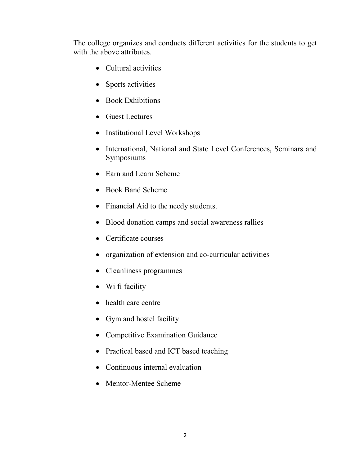The college organizes and conducts different activities for the students to get with the above attributes.

- Cultural activities
- Sports activities
- Book Exhibitions
- Guest Lectures
- Institutional Level Workshops
- International, National and State Level Conferences, Seminars and Symposiums
- Earn and Learn Scheme
- Book Band Scheme
- Financial Aid to the needy students.
- Blood donation camps and social awareness rallies
- Certificate courses
- organization of extension and co-curricular activities
- Cleanliness programmes
- Wi fi facility
- health care centre
- Gym and hostel facility
- Competitive Examination Guidance
- Practical based and ICT based teaching
- Continuous internal evaluation
- Mentor-Mentee Scheme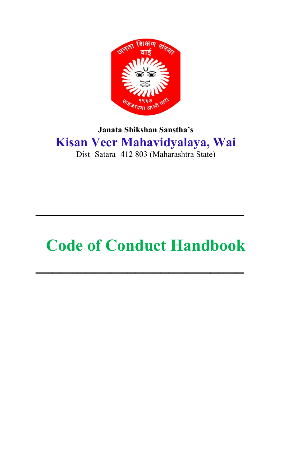

# **Janata Shikshan Sanstha's Kisan Veer Mahavidyalaya, Wai**  Dist- Satara- 412 803 (Maharashtra State)

# **Code of Conduct Handbook**

**\_\_\_\_\_\_\_\_\_\_\_\_\_\_\_\_\_\_\_\_\_\_\_\_\_**

**\_\_\_\_\_\_\_\_\_\_\_\_\_\_\_\_\_\_\_\_\_\_\_\_\_**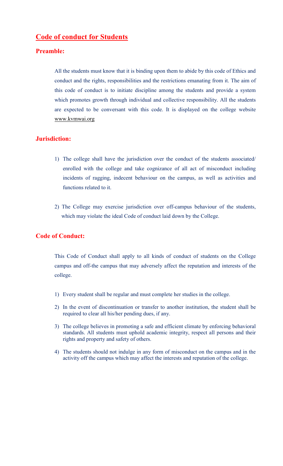## **Code of conduct for Students**

#### **Preamble:**

All the students must know that it is binding upon them to abide by this code of Ethics and conduct and the rights, responsibilities and the restrictions emanating from it. The aim of this code of conduct is to initiate discipline among the students and provide a system which promotes growth through individual and collective responsibility. All the students are expected to be conversant with this code. It is displayed on the college website www.kvmwai.org

#### **Jurisdiction:**

- 1) The college shall have the jurisdiction over the conduct of the students associated/ enrolled with the college and take cognizance of all act of misconduct including incidents of ragging, indecent behaviour on the campus, as well as activities and functions related to it.
- 2) The College may exercise jurisdiction over off-campus behaviour of the students, which may violate the ideal Code of conduct laid down by the College.

#### **Code of Conduct:**

This Code of Conduct shall apply to all kinds of conduct of students on the College campus and off-the campus that may adversely affect the reputation and interests of the college.

- 1) Every student shall be regular and must complete her studies in the college.
- 2) In the event of discontinuation or transfer to another institution, the student shall be required to clear all his/her pending dues, if any.
- 3) The college believes in promoting a safe and efficient climate by enforcing behavioral standards. All students must uphold academic integrity, respect all persons and their rights and property and safety of others.
- 4) The students should not indulge in any form of misconduct on the campus and in the activity off the campus which may affect the interests and reputation of the college.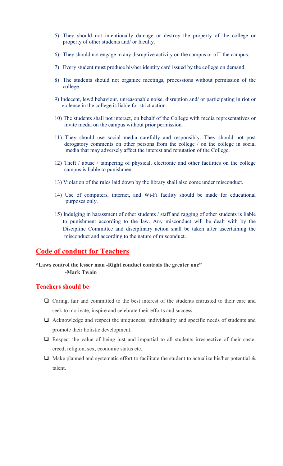- 5) They should not intentionally damage or destroy the property of the college or property of other students and/ or faculty.
- 6) They should not engage in any disruptive activity on the campus or off the campus.
- 7) Every student must produce his/her identity card issued by the college on demand.
- 8) The students should not organize meetings, processions without permission of the college.
- 9) Indecent, lewd behaviour, unreasonable noise, disruption and/ or participating in riot or violence in the college is liable for strict action.
- 10) The students shall not interact, on behalf of the College with media representatives or invite media on the campus without prior permission.
- 11) They should use social media carefully and responsibly. They should not post derogatory comments on other persons from the college / on the college in social media that may adversely affect the interest and reputation of the College.
- 12) Theft / abuse / tampering of physical, electronic and other facilities on the college campus is liable to punishment
- 13) Violation of the rules laid down by the library shall also come under misconduct.
- 14) Use of computers, internet, and Wi-Fi facility should be made for educational purposes only.
- 15) Indulging in harassment of other students / staff and ragging of other students is liable to punishment according to the law. Any misconduct will be dealt with by the Discipline Committee and disciplinary action shall be taken after ascertaining the misconduct and according to the nature of misconduct.

### **Code of conduct for Teachers**

**"Laws control the lesser man -Right conduct controls the greater one" -Mark Twain** 

#### **Teachers should be**

- Caring, fair and committed to the best interest of the students entrusted to their care and seek to motivate, inspire and celebrate their efforts and success.
- Acknowledge and respect the uniqueness, individuality and specific needs of students and promote their holistic development.
- $\Box$  Respect the value of being just and impartial to all students irrespective of their caste, creed, religion, sex, economic status etc.
- $\Box$  Make planned and systematic effort to facilitate the student to actualize his/her potential & talent.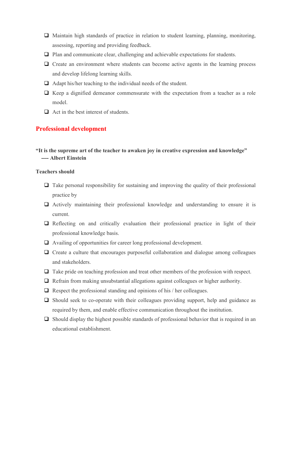- Maintain high standards of practice in relation to student learning, planning, monitoring, assessing, reporting and providing feedback.
- $\Box$  Plan and communicate clear, challenging and achievable expectations for students.
- $\Box$  Create an environment where students can become active agents in the learning process and develop lifelong learning skills.
- $\Box$  Adapt his/her teaching to the individual needs of the student.
- $\Box$  Keep a dignified demeanor commensurate with the expectation from a teacher as a role model.
- $\Box$  Act in the best interest of students.

#### **Professional development**

#### **"It is the supreme art of the teacher to awaken joy in creative expression and knowledge" ---- Albert Einstein**

#### **Teachers should**

- $\Box$  Take personal responsibility for sustaining and improving the quality of their professional practice by
- Actively maintaining their professional knowledge and understanding to ensure it is current.
- $\Box$  Reflecting on and critically evaluation their professional practice in light of their professional knowledge basis.
- Availing of opportunities for career long professional development.
- $\Box$  Create a culture that encourages purposeful collaboration and dialogue among colleagues and stakeholders.
- $\Box$  Take pride on teaching profession and treat other members of the profession with respect.
- $\Box$  Refrain from making unsubstantial allegations against colleagues or higher authority.
- $\Box$  Respect the professional standing and opinions of his / her colleagues.
- $\Box$  Should seek to co-operate with their colleagues providing support, help and guidance as required by them, and enable effective communication throughout the institution.
- $\Box$  Should display the highest possible standards of professional behavior that is required in an educational establishment.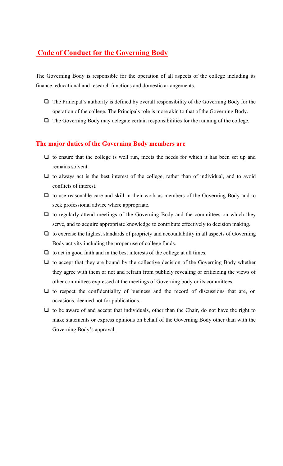## **Code of Conduct for the Governing Body**

The Governing Body is responsible for the operation of all aspects of the college including its finance, educational and research functions and domestic arrangements.

- $\Box$  The Principal's authority is defined by overall responsibility of the Governing Body for the operation of the college. The Principals role is more akin to that of the Governing Body.
- $\Box$  The Governing Body may delegate certain responsibilities for the running of the college.

#### **The major duties of the Governing Body members are**

- $\Box$  to ensure that the college is well run, meets the needs for which it has been set up and remains solvent.
- $\Box$  to always act is the best interest of the college, rather than of individual, and to avoid conflicts of interest.
- $\Box$  to use reasonable care and skill in their work as members of the Governing Body and to seek professional advice where appropriate.
- $\Box$  to regularly attend meetings of the Governing Body and the committees on which they serve, and to acquire appropriate knowledge to contribute effectively to decision making.
- $\Box$  to exercise the highest standards of propriety and accountability in all aspects of Governing Body activity including the proper use of college funds.
- $\Box$  to act in good faith and in the best interests of the college at all times.
- $\Box$  to accept that they are bound by the collective decision of the Governing Body whether they agree with them or not and refrain from publicly revealing or criticizing the views of other committees expressed at the meetings of Governing body or its committees.
- $\Box$  to respect the confidentiality of business and the record of discussions that are, on occasions, deemed not for publications.
- $\Box$  to be aware of and accept that individuals, other than the Chair, do not have the right to make statements or express opinions on behalf of the Governing Body other than with the Governing Body's approval.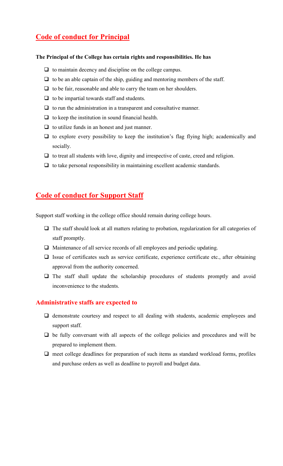# **Code of conduct for Principal**

#### **The Principal of the College has certain rights and responsibilities. He has**

- $\Box$  to maintain decency and discipline on the college campus.
- $\Box$  to be an able captain of the ship, guiding and mentoring members of the staff.
- $\Box$  to be fair, reasonable and able to carry the team on her shoulders.
- $\Box$  to be impartial towards staff and students.
- $\Box$  to run the administration in a transparent and consultative manner.
- $\Box$  to keep the institution in sound financial health.
- $\Box$  to utilize funds in an honest and just manner.
- $\Box$  to explore every possibility to keep the institution's flag flying high; academically and socially.
- $\Box$  to treat all students with love, dignity and irrespective of caste, creed and religion.
- $\Box$  to take personal responsibility in maintaining excellent academic standards.

### **Code of conduct for Support Staff**

Support staff working in the college office should remain during college hours.

- $\Box$  The staff should look at all matters relating to probation, regularization for all categories of staff promptly.
- $\Box$  Maintenance of all service records of all employees and periodic updating.
- $\Box$  Issue of certificates such as service certificate, experience certificate etc., after obtaining approval from the authority concerned.
- $\Box$  The staff shall update the scholarship procedures of students promptly and avoid inconvenience to the students.

#### **Administrative staffs are expected to**

- $\Box$  demonstrate courtesy and respect to all dealing with students, academic employees and support staff.
- $\Box$  be fully conversant with all aspects of the college policies and procedures and will be prepared to implement them.
- $\Box$  meet college deadlines for preparation of such items as standard workload forms, profiles and purchase orders as well as deadline to payroll and budget data.